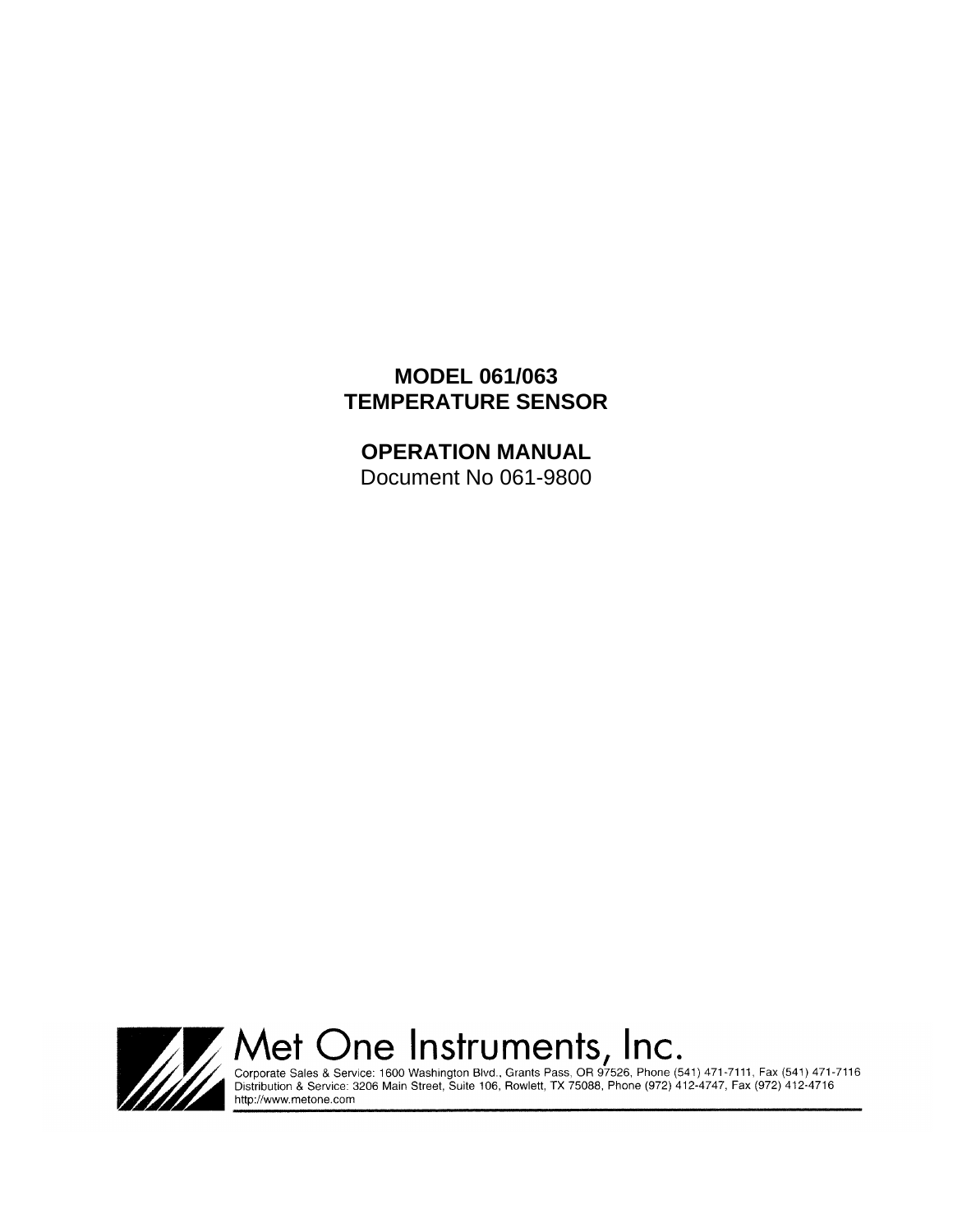# **MODEL 061/063 TEMPERATURE SENSOR**

**OPERATION MANUAL** Document No 061-9800



Met One Instruments, Inc.<br>
Corporate Sales & Service: 1600 Washington Blvd., Grants Pass, OR 97526, Phone (541) 471-7111, Fax (541) 471-7116<br>
Distribution & Service: 3206 Main Street, Suite 106, Rowlett, TX 75088, Phone (9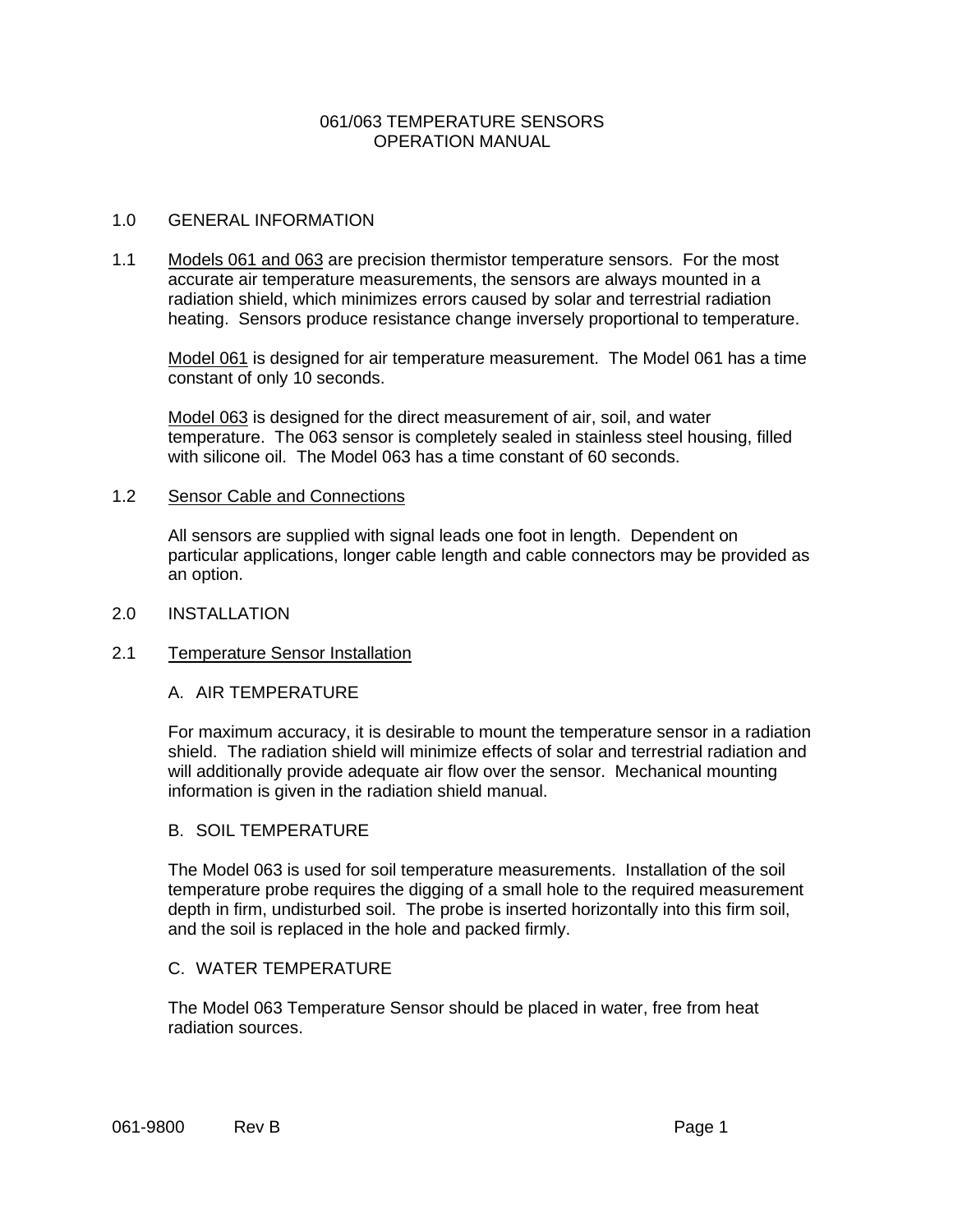### 061/063 TEMPERATURE SENSORS OPERATION MANUAL

### 1.0 GENERAL INFORMATION

1.1 Models 061 and 063 are precision thermistor temperature sensors. For the most accurate air temperature measurements, the sensors are always mounted in a radiation shield, which minimizes errors caused by solar and terrestrial radiation heating. Sensors produce resistance change inversely proportional to temperature.

Model 061 is designed for air temperature measurement. The Model 061 has a time constant of only 10 seconds.

Model 063 is designed for the direct measurement of air, soil, and water temperature. The 063 sensor is completely sealed in stainless steel housing, filled with silicone oil. The Model 063 has a time constant of 60 seconds.

### 1.2 Sensor Cable and Connections

All sensors are supplied with signal leads one foot in length. Dependent on particular applications, longer cable length and cable connectors may be provided as an option.

2.0 INSTALLATION

### 2.1 Temperature Sensor Installation

### A. AIR TEMPERATURE

For maximum accuracy, it is desirable to mount the temperature sensor in a radiation shield. The radiation shield will minimize effects of solar and terrestrial radiation and will additionally provide adequate air flow over the sensor. Mechanical mounting information is given in the radiation shield manual.

### B. SOIL TEMPERATURE

The Model 063 is used for soil temperature measurements. Installation of the soil temperature probe requires the digging of a small hole to the required measurement depth in firm, undisturbed soil. The probe is inserted horizontally into this firm soil, and the soil is replaced in the hole and packed firmly.

### C. WATER TEMPERATURE

The Model 063 Temperature Sensor should be placed in water, free from heat radiation sources.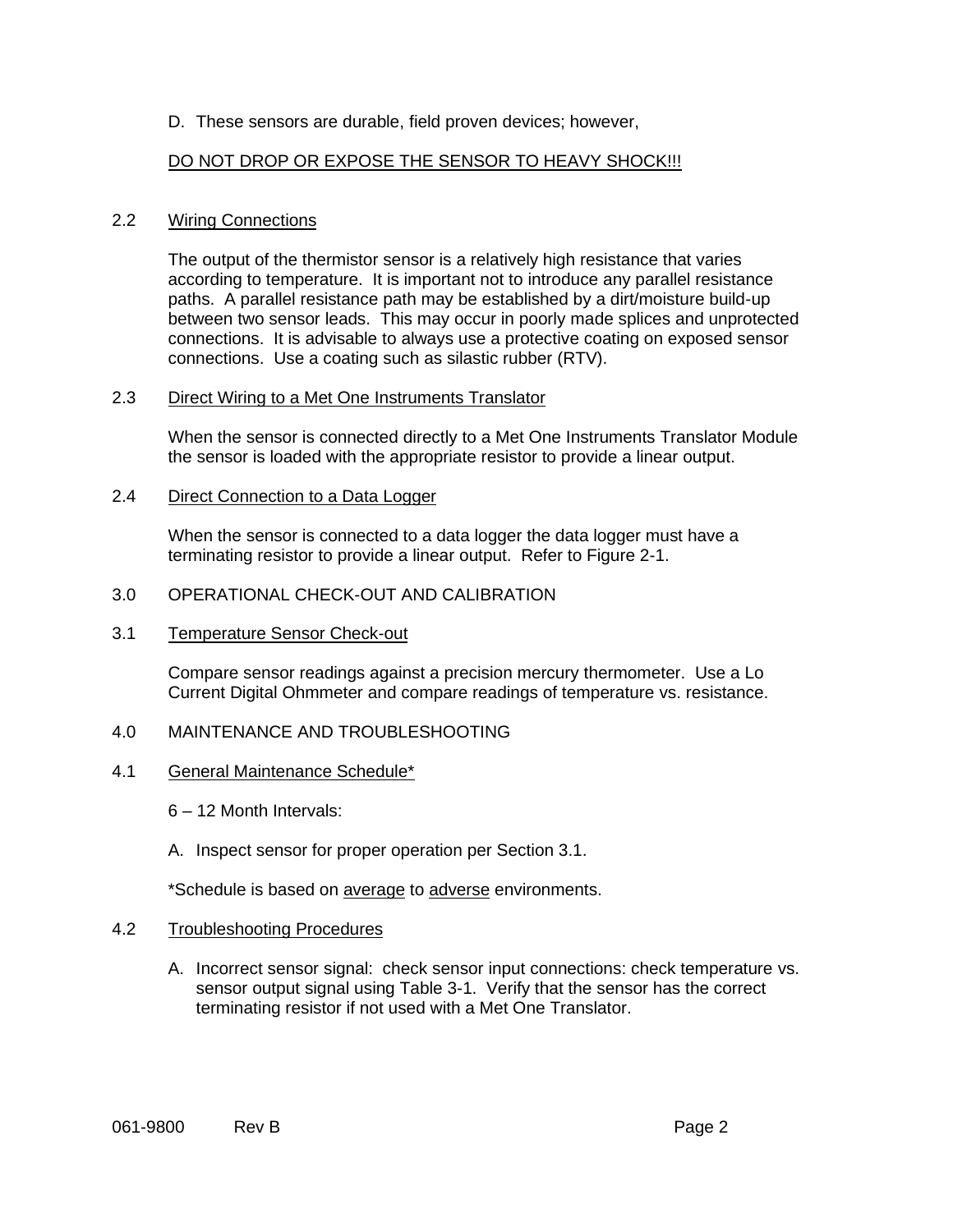## D. These sensors are durable, field proven devices; however,

## DO NOT DROP OR EXPOSE THE SENSOR TO HEAVY SHOCK!!!

### 2.2 Wiring Connections

The output of the thermistor sensor is a relatively high resistance that varies according to temperature. It is important not to introduce any parallel resistance paths. A parallel resistance path may be established by a dirt/moisture build-up between two sensor leads. This may occur in poorly made splices and unprotected connections. It is advisable to always use a protective coating on exposed sensor connections. Use a coating such as silastic rubber (RTV).

#### 2.3 Direct Wiring to a Met One Instruments Translator

When the sensor is connected directly to a Met One Instruments Translator Module the sensor is loaded with the appropriate resistor to provide a linear output.

#### 2.4 Direct Connection to a Data Logger

When the sensor is connected to a data logger the data logger must have a terminating resistor to provide a linear output. Refer to Figure 2-1.

### 3.0 OPERATIONAL CHECK-OUT AND CALIBRATION

### 3.1 Temperature Sensor Check-out

Compare sensor readings against a precision mercury thermometer. Use a Lo Current Digital Ohmmeter and compare readings of temperature vs. resistance.

### 4.0 MAINTENANCE AND TROUBLESHOOTING

#### 4.1 General Maintenance Schedule\*

6 – 12 Month Intervals:

A. Inspect sensor for proper operation per Section 3.1.

\*Schedule is based on **average** to adverse environments.

### 4.2 Troubleshooting Procedures

A. Incorrect sensor signal: check sensor input connections: check temperature vs. sensor output signal using Table 3-1. Verify that the sensor has the correct terminating resistor if not used with a Met One Translator.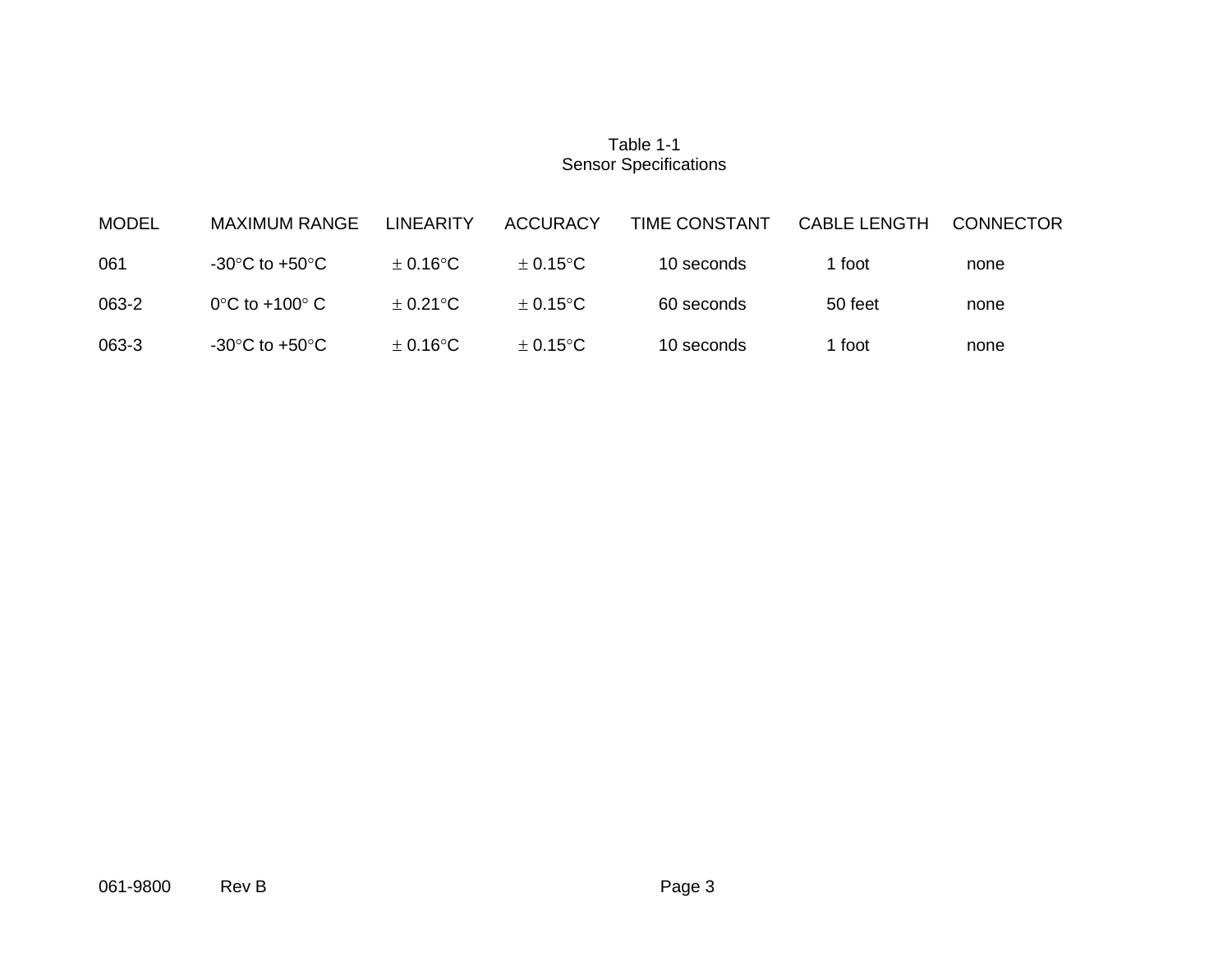## Table 1-1 Sensor Specifications

| <b>MODEL</b> | <b>MAXIMUM RANGE</b>                 | <b>LINEARITY</b>        | <b>ACCURACY</b>   | TIME CONSTANT | <b>CABLE LENGTH</b> | <b>CONNECTOR</b> |
|--------------|--------------------------------------|-------------------------|-------------------|---------------|---------------------|------------------|
| 061          | -30 $^{\circ}$ C to +50 $^{\circ}$ C | $\pm$ 0.16°C            | $+0.15^{\circ}$ C | 10 seconds    | 1 foot              | none             |
| 063-2        | $0^{\circ}$ C to +100 $^{\circ}$ C   | $\pm$ 0.21 $^{\circ}$ C | $\pm$ 0.15°C      | 60 seconds    | 50 feet             | none             |
| 063-3        | -30°C to +50°C                       | $\pm$ 0.16°C            | $+0.15^{\circ}$ C | 10 seconds    | l foot              | none             |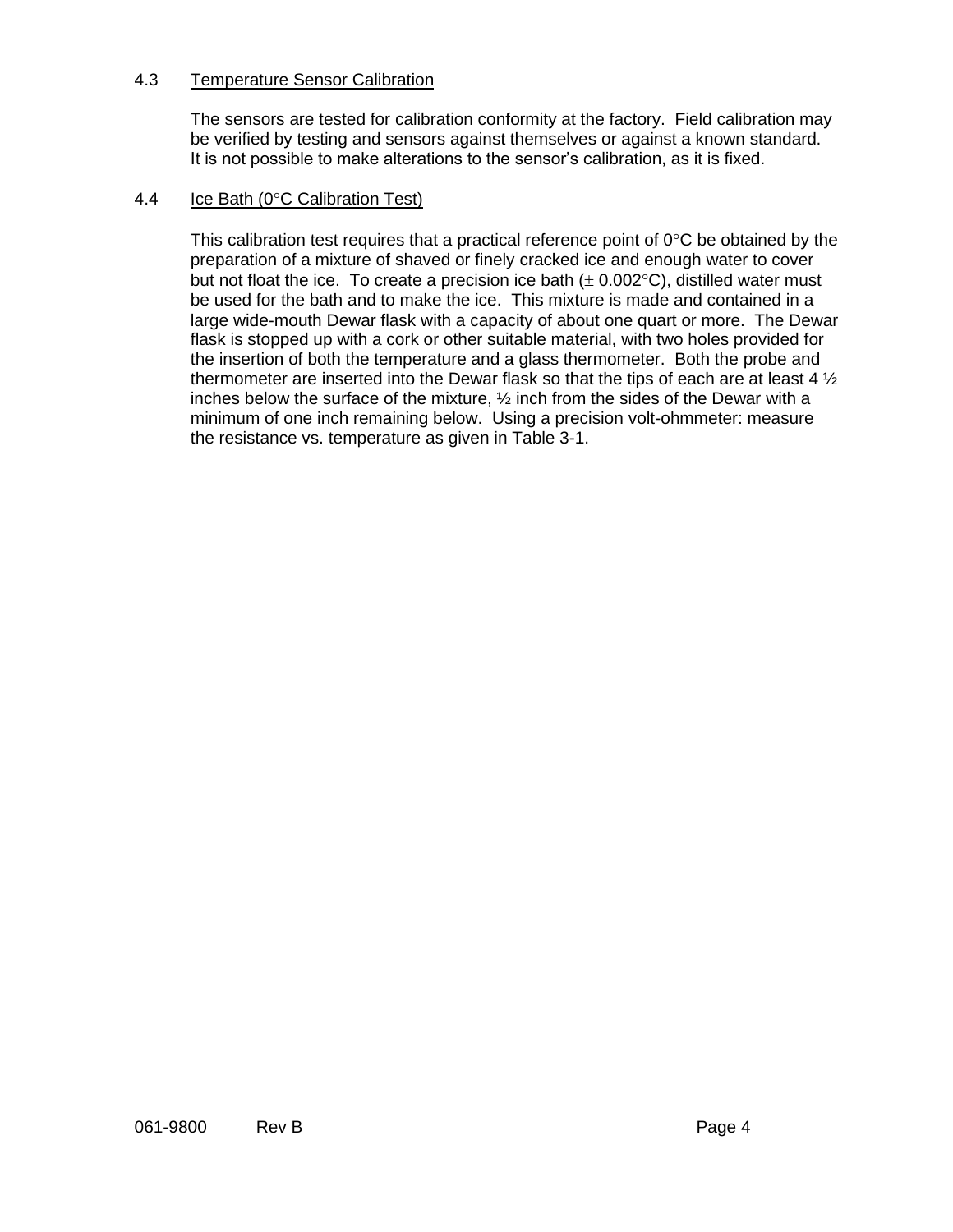## 4.3 Temperature Sensor Calibration

The sensors are tested for calibration conformity at the factory. Field calibration may be verified by testing and sensors against themselves or against a known standard. It is not possible to make alterations to the sensor's calibration, as it is fixed.

## 4.4 Ice Bath ( $0^{\circ}$ C Calibration Test)

This calibration test requires that a practical reference point of  $0^{\circ}$ C be obtained by the preparation of a mixture of shaved or finely cracked ice and enough water to cover but not float the ice. To create a precision ice bath  $(\pm 0.002^{\circ}C)$ , distilled water must be used for the bath and to make the ice. This mixture is made and contained in a large wide-mouth Dewar flask with a capacity of about one quart or more. The Dewar flask is stopped up with a cork or other suitable material, with two holes provided for the insertion of both the temperature and a glass thermometer. Both the probe and thermometer are inserted into the Dewar flask so that the tips of each are at least 4  $\frac{1}{2}$ inches below the surface of the mixture, ½ inch from the sides of the Dewar with a minimum of one inch remaining below. Using a precision volt-ohmmeter: measure the resistance vs. temperature as given in Table 3-1.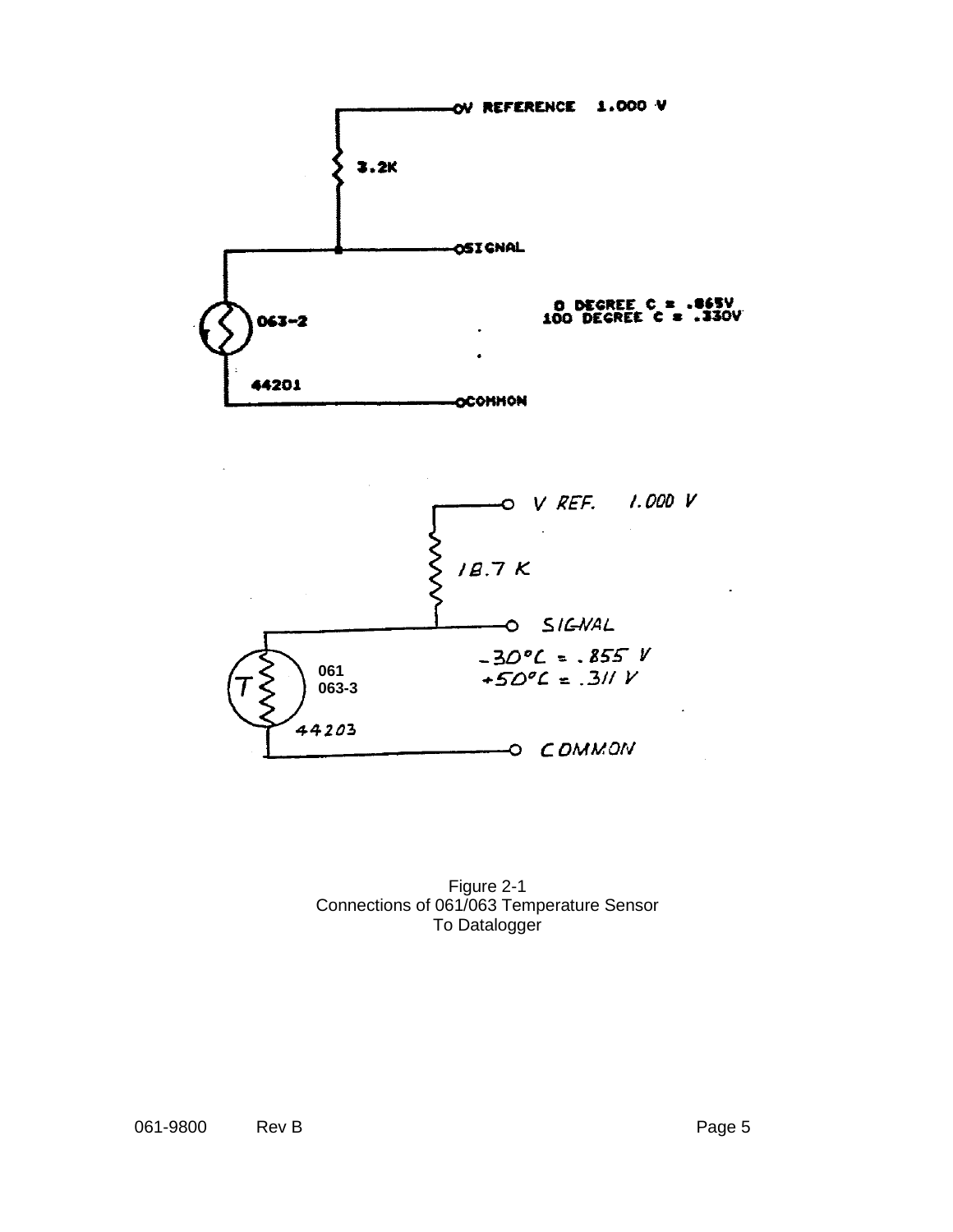



Figure 2-1 Connections of 061/063 Temperature Sensor To Datalogger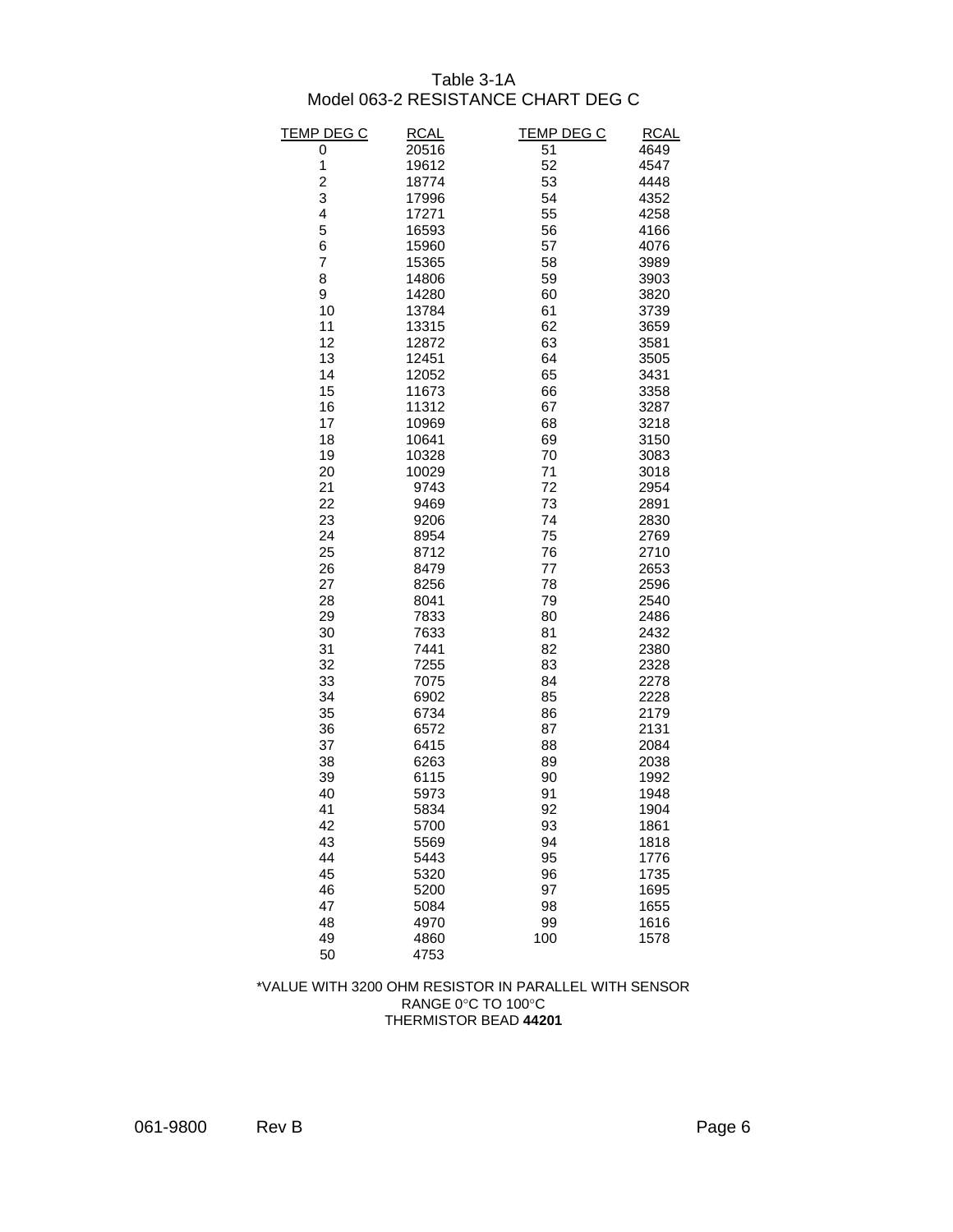## Table 3-1A Model 063-2 RESISTANCE CHART DEG C

| <b>TEMP DEG C</b> | <b>RCAL</b> | <u>TEMP DEG C</u> | <b>RCAL</b> |
|-------------------|-------------|-------------------|-------------|
| 0                 | 20516       | 51                | 4649        |
| 1                 | 19612       | 52                | 4547        |
| $\overline{c}$    | 18774       | 53                | 4448        |
| 3                 | 17996       | 54                | 4352        |
| 4                 | 17271       | 55                | 4258        |
| 5                 | 16593       | 56                | 4166        |
| 6                 | 15960       | 57                | 4076        |
| 7                 | 15365       | 58                | 3989        |
| 8                 | 14806       | 59                | 3903        |
| 9                 | 14280       | 60                | 3820        |
| 10                | 13784       | 61                | 3739        |
| 11                | 13315       | 62                | 3659        |
| 12                | 12872       | 63                | 3581        |
| 13                | 12451       | 64                | 3505        |
| 14                | 12052       | 65                | 3431        |
| 15                | 11673       | 66                | 3358        |
| 16                | 11312       | 67                | 3287        |
| 17                | 10969       | 68                | 3218        |
| 18                | 10641       | 69                | 3150        |
| 19                | 10328       | 70                | 3083        |
| 20                | 10029       | 71                | 3018        |
| 21                | 9743        | 72                | 2954        |
| 22                | 9469        | 73                | 2891        |
| 23                | 9206        | 74                | 2830        |
| 24                | 8954        | 75                | 2769        |
| 25                | 8712        | 76                | 2710        |
| 26                | 8479        | 77                | 2653        |
| 27                | 8256        | 78                | 2596        |
| 28                | 8041        | 79                | 2540        |
| 29                | 7833        | 80                | 2486        |
| 30                | 7633        | 81                | 2432        |
| 31                | 7441        | 82                | 2380        |
| 32                | 7255        | 83                | 2328        |
| 33                | 7075        | 84                | 2278        |
| 34                | 6902        | 85                | 2228        |
| 35                | 6734        | 86                | 2179        |
| 36                | 6572        | 87                | 2131        |
| 37                | 6415        | 88                | 2084        |
| 38                | 6263        | 89                | 2038        |
| 39                | 6115        | 90                | 1992        |
| 40                | 5973        | 91                | 1948        |
| 41                | 5834        | 92                | 1904        |
| 42                | 5700        | 93                | 1861        |
| 43                | 5569        | 94                | 1818        |
| 44                | 5443        | 95                | 1776        |
| 45                | 5320        | 96                | 1735        |
| 46                | 5200        | 97                | 1695        |
| 47                | 5084        | 98                | 1655        |
| 48                | 4970        | 99                | 1616        |
| 49                | 4860        | 100               | 1578        |
| 50                | 4753        |                   |             |

#### \*VALUE WITH 3200 OHM RESISTOR IN PARALLEL WITH SENSOR RANGE 0°C TO 100°C THERMISTOR BEAD **44201**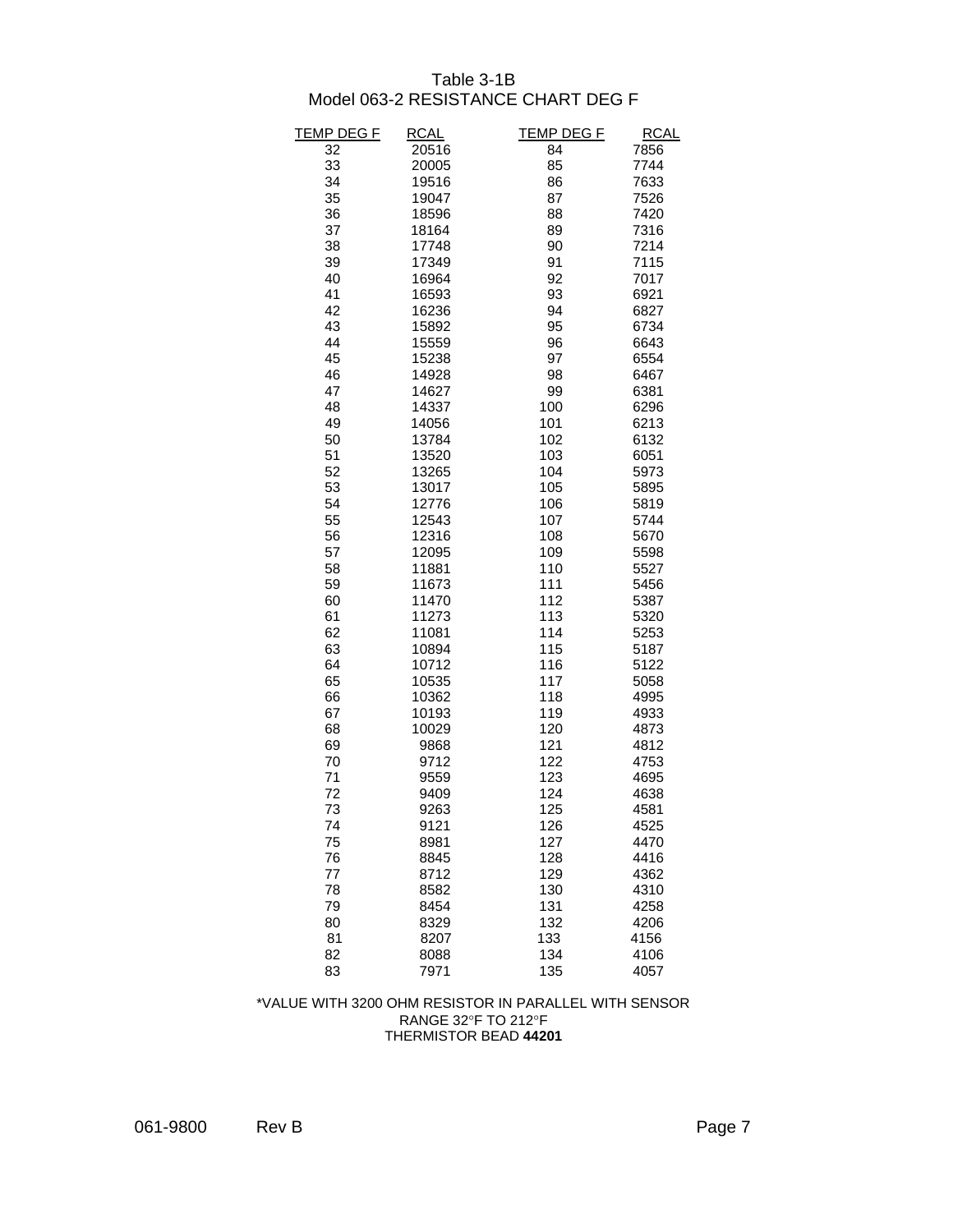### Table 3-1B Model 063-2 RESISTANCE CHART DEG F

| TEMP DEG F | <b>RCAL</b> | TEMP DEG F | RCAL |
|------------|-------------|------------|------|
| 32         | 20516       | 84         | 7856 |
| 33         | 20005       | 85         | 7744 |
| 34         | 19516       | 86         | 7633 |
| 35         | 19047       | 87         | 7526 |
| 36         | 18596       | 88         | 7420 |
| 37         | 18164       | 89         | 7316 |
| 38         | 17748       | 90         | 7214 |
| 39         | 17349       | 91         | 7115 |
| 40         | 16964       | 92         | 7017 |
| 41         | 16593       | 93         | 6921 |
| 42         | 16236       | 94         | 6827 |
| 43         | 15892       | 95         | 6734 |
| 44         | 15559       | 96         | 6643 |
| 45         | 15238       | 97         | 6554 |
| 46         | 14928       | 98         | 6467 |
| 47         | 14627       | 99         | 6381 |
| 48         | 14337       | 100        | 6296 |
| 49         | 14056       | 101        | 6213 |
| 50         | 13784       | 102        | 6132 |
| 51         | 13520       | 103        | 6051 |
| 52         | 13265       | 104        | 5973 |
| 53         | 13017       | 105        | 5895 |
| 54         | 12776       | 106        | 5819 |
| 55         | 12543       | 107        | 5744 |
| 56         | 12316       | 108        | 5670 |
| 57         | 12095       | 109        | 5598 |
| 58         | 11881       | 110        | 5527 |
| 59         | 11673       | 111        | 5456 |
| 60         | 11470       | 112        | 5387 |
| 61         | 11273       | 113        | 5320 |
| 62         | 11081       | 114        | 5253 |
| 63         | 10894       | 115        | 5187 |
| 64         | 10712       | 116        | 5122 |
| 65         | 10535       | 117        | 5058 |
| 66         | 10362       | 118        | 4995 |
| 67         | 10193       | 119        | 4933 |
| 68         | 10029       | 120        | 4873 |
| 69         | 9868        | 121        | 4812 |
| 70         | 9712        | 122        | 4753 |
| 71         | 9559        | 123        | 4695 |
| 72         | 9409        | 124        | 4638 |
| 73         | 9263        | 125        | 4581 |
| 74         | 9121        | 126        | 4525 |
| 75         | 8981        | 127        | 4470 |
| 76         | 8845        | 128        | 4416 |
| 77         | 8712        | 129        | 4362 |
| 78         | 8582        | 130        | 4310 |
| 79         | 8454        | 131        | 4258 |
| 80         | 8329        | 132        | 4206 |
| 81         | 8207        | 133        | 4156 |
| 82         | 8088        | 134        | 4106 |
| 83         | 7971        | 135        | 4057 |

#### \*VALUE WITH 3200 OHM RESISTOR IN PARALLEL WITH SENSOR RANGE 32°F TO 212°F THERMISTOR BEAD **44201**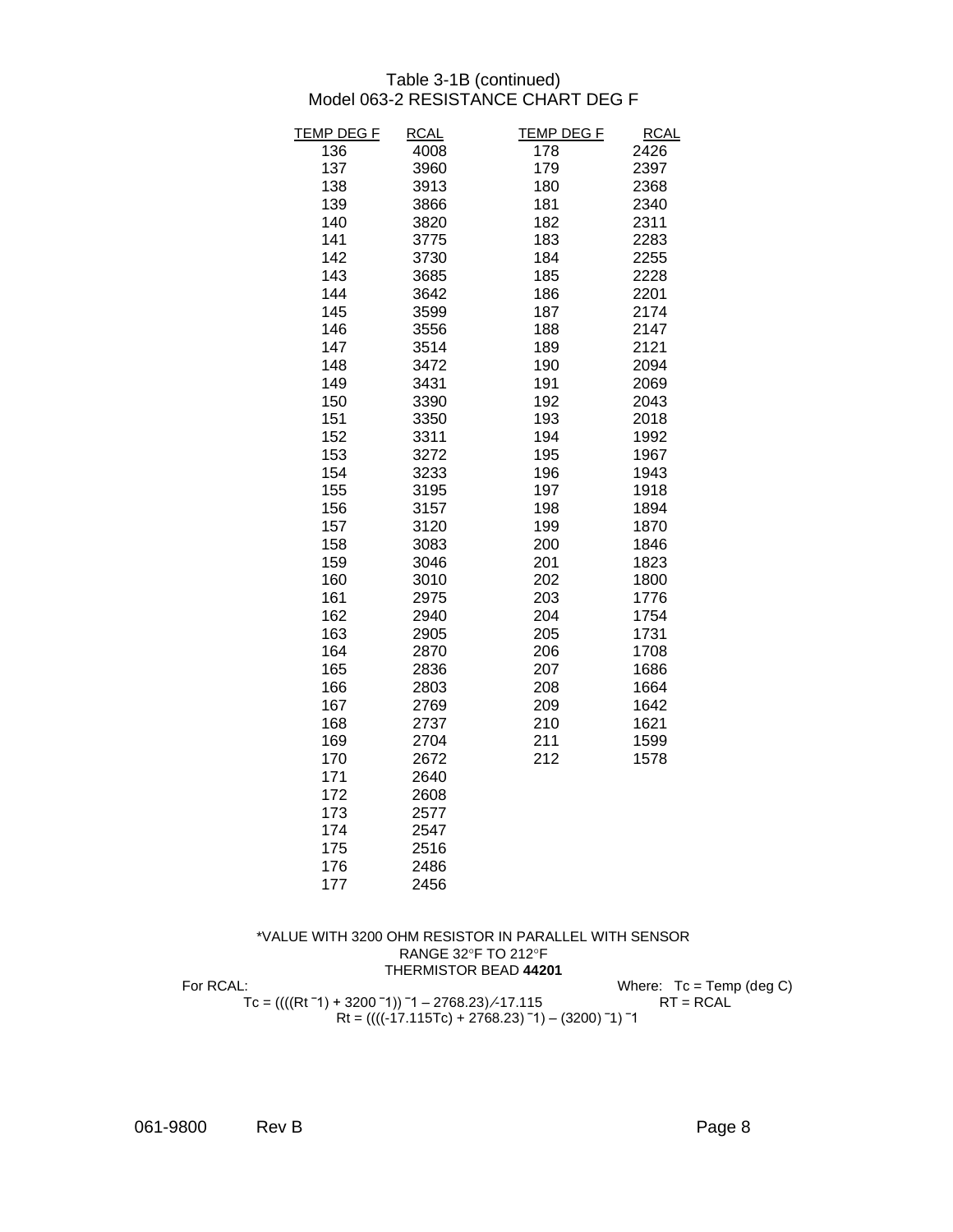#### Table 3-1B (continued) Model 063-2 RESISTANCE CHART DEG F

| <b>TEMP DEG F</b> | <b>RCAL</b> | <b>TEMP DEG F</b> | <b>RCAL</b> |
|-------------------|-------------|-------------------|-------------|
| 136               | 4008        | 178               | 2426        |
| 137               | 3960        | 179               | 2397        |
| 138               | 3913        | 180               | 2368        |
| 139               | 3866        | 181               | 2340        |
| 140               | 3820        | 182               | 2311        |
| 141               | 3775        | 183               | 2283        |
| 142               | 3730        | 184               | 2255        |
| 143               | 3685        | 185               | 2228        |
| 144               | 3642        | 186               | 2201        |
| 145               | 3599        | 187               | 2174        |
| 146               | 3556        | 188               | 2147        |
| 147               | 3514        | 189               | 2121        |
| 148               | 3472        | 190               | 2094        |
| 149               | 3431        | 191               | 2069        |
| 150               | 3390        | 192               | 2043        |
| 151               | 3350        | 193               | 2018        |
| 152               | 3311        | 194               | 1992        |
| 153               | 3272        | 195               | 1967        |
| 154               | 3233        | 196               | 1943        |
| 155               | 3195        | 197               | 1918        |
| 156               | 3157        | 198               | 1894        |
| 157               | 3120        | 199               | 1870        |
| 158               | 3083        | 200               | 1846        |
| 159               | 3046        | 201               | 1823        |
| 160               | 3010        | 202               | 1800        |
| 161               | 2975        | 203               | 1776        |
| 162               | 2940        | 204               | 1754        |
| 163               | 2905        | 205               | 1731        |
| 164               | 2870        | 206               | 1708        |
| 165               | 2836        | 207               | 1686        |
| 166               | 2803        | 208               | 1664        |
| 167               | 2769        | 209               | 1642        |
| 168               | 2737        | 210               | 1621        |
| 169               | 2704        | 211               | 1599        |
| 170               | 2672        | 212               | 1578        |
| 171               | 2640        |                   |             |
| 172               | 2608        |                   |             |
| 173               | 2577        |                   |             |
| 174               | 2547        |                   |             |
| 175               | 2516        |                   |             |
| 176               | 2486        |                   |             |
| 177               | 2456        |                   |             |
|                   |             |                   |             |

#### \*VALUE WITH 3200 OHM RESISTOR IN PARALLEL WITH SENSOR RANGE 32°F TO 212°F THERMISTOR BEAD **44201** For RCAL: Where: Tc = Temp (deg C) Tc = ((((Rt ¯1) + 3200 ¯1)) ¯1 – 2768.23) ∕-17.115 RT = RCAL Rt = ((((-17.115Tc) + 2768.23) ‾1) – (3200) ‾1) ‾1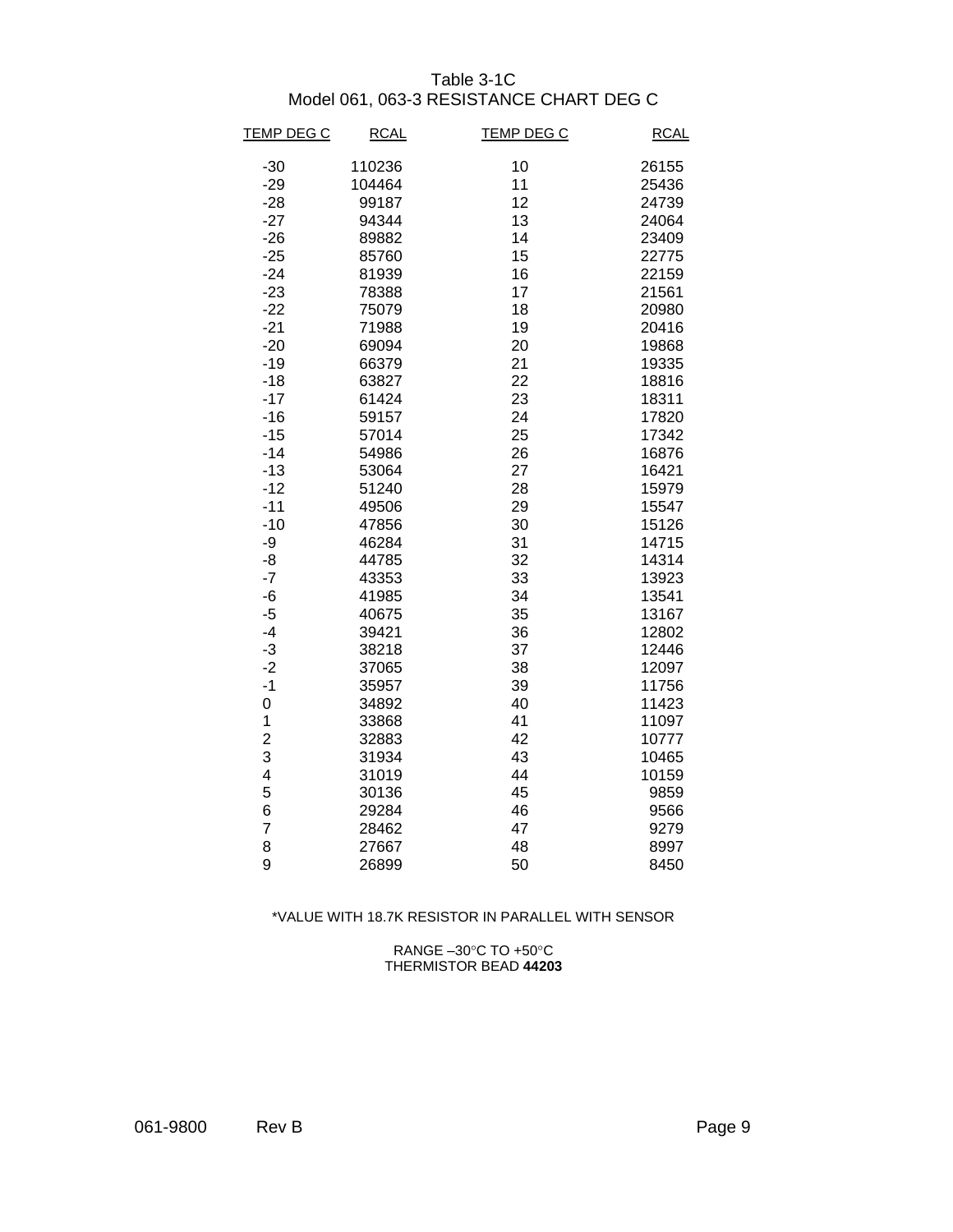## Table 3-1C Model 061, 063-3 RESISTANCE CHART DEG C

| <b>TEMP DEG C</b> | <b>RCAL</b> | <b>TEMP DEG C</b> | <b>RCAL</b> |
|-------------------|-------------|-------------------|-------------|
| $-30$             | 110236      | 10                | 26155       |
| $-29$             | 104464      | 11                | 25436       |
| $-28$             | 99187       | 12                | 24739       |
| $-27$             | 94344       | 13                | 24064       |
| $-26$             | 89882       | 14                | 23409       |
| $-25$             | 85760       | 15                | 22775       |
| $-24$             | 81939       | 16                | 22159       |
| $-23$             | 78388       | 17                | 21561       |
| $-22$             | 75079       | 18                | 20980       |
| $-21$             | 71988       | 19                | 20416       |
| $-20$             | 69094       | 20                | 19868       |
| $-19$             | 66379       | 21                | 19335       |
| $-18$             | 63827       | 22                | 18816       |
| $-17$             | 61424       | 23                | 18311       |
| $-16$             | 59157       | 24                | 17820       |
| $-15$             | 57014       | 25                | 17342       |
| $-14$             | 54986       | 26                | 16876       |
| $-13$             | 53064       | 27                | 16421       |
| $-12$             | 51240       | 28                | 15979       |
| $-11$             | 49506       | 29                | 15547       |
| $-10$             | 47856       | 30                | 15126       |
| -9                | 46284       | 31                | 14715       |
| -8                | 44785       | 32                | 14314       |
| $-7$              | 43353       | 33                | 13923       |
| -6                | 41985       | 34                | 13541       |
| $-5$              | 40675       | 35                | 13167       |
| $-4$              | 39421       | 36                | 12802       |
| $-3$              | 38218       | 37                | 12446       |
| $-2$              | 37065       | 38                | 12097       |
| $-1$              | 35957       | 39                | 11756       |
| 0                 | 34892       | 40                | 11423       |
| 1                 | 33868       | 41                | 11097       |
| $\overline{c}$    | 32883       | 42                | 10777       |
| 3                 | 31934       | 43                | 10465       |
| 4                 | 31019       | 44                | 10159       |
| 5                 | 30136       | 45                | 9859        |
| 6                 | 29284       | 46                | 9566        |
| $\overline{7}$    | 28462       | 47                | 9279        |
| 8                 | 27667       | 48                | 8997        |
| 9                 | 26899       | 50                | 8450        |

#### \*VALUE WITH 18.7K RESISTOR IN PARALLEL WITH SENSOR

RANGE  $-30^{\circ}$ C TO  $+50^{\circ}$ C THERMISTOR BEAD **44203**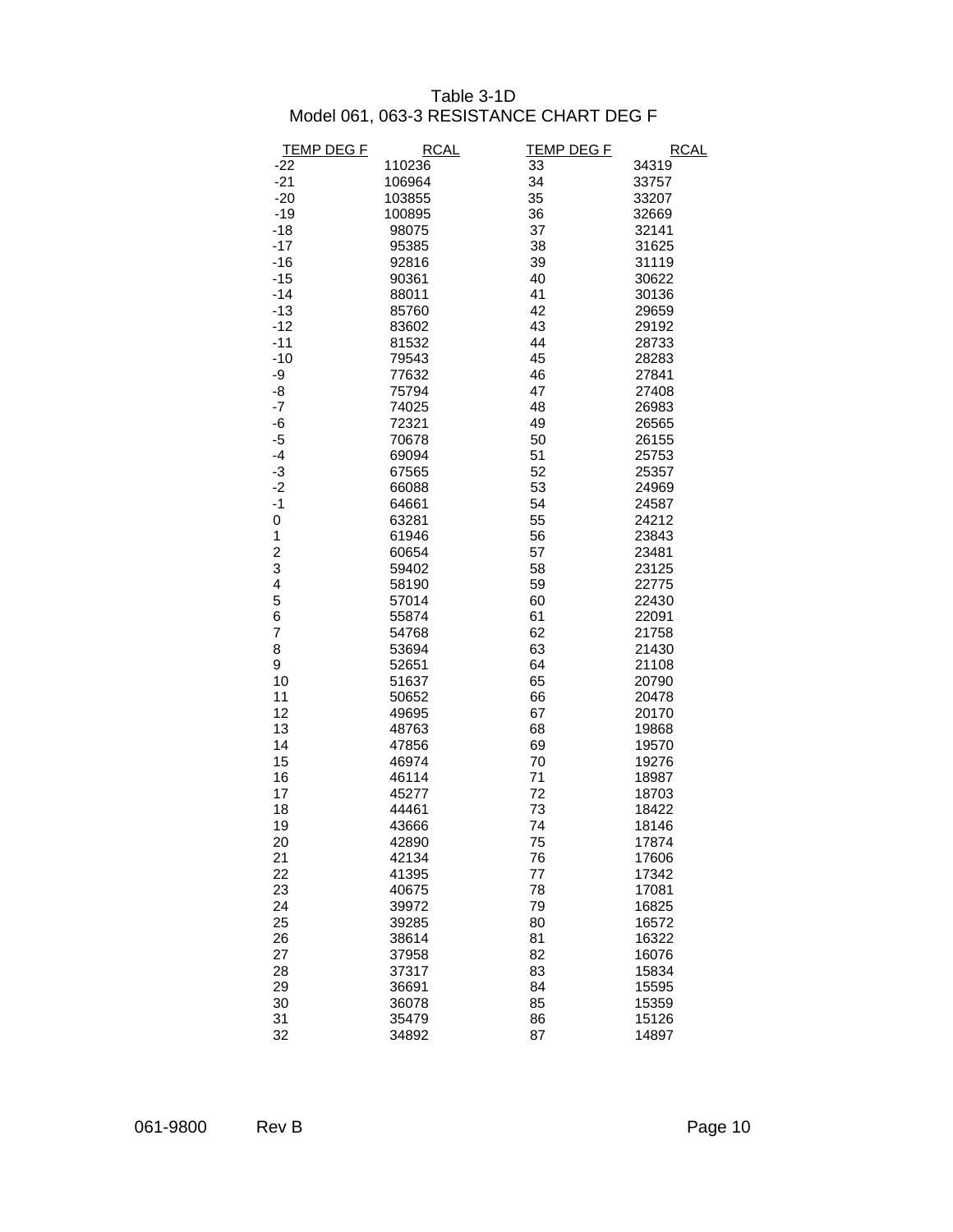#### Table 3-1D Model 061, 063-3 RESISTANCE CHART DEG F

| <b>TEMP DEG F</b>       | <b>RCAL</b> | <b>TEMP DEG F</b> | <b>RCAL</b> |
|-------------------------|-------------|-------------------|-------------|
| $-22$                   | 110236      | 33                | 34319       |
| $-21$                   | 106964      | 34                | 33757       |
| $-20$                   | 103855      | 35                | 33207       |
| $-19$                   | 100895      | 36                | 32669       |
| $-18$                   | 98075       | 37                | 32141       |
| $-17$                   | 95385       | 38                | 31625       |
| $-16$                   | 92816       | 39                | 31119       |
| $-15$                   | 90361       | 40                | 30622       |
| $-14$                   | 88011       | 41                | 30136       |
| $-13$                   | 85760       | 42                | 29659       |
| $-12$                   | 83602       | 43                | 29192       |
| $-11$                   | 81532       | 44                | 28733       |
| $-10$                   | 79543       | 45                | 28283       |
| -9                      | 77632       | 46                | 27841       |
| -8                      | 75794       | 47                | 27408       |
| $-7$                    | 74025       | 48                | 26983       |
| -6                      | 72321       | 49                | 26565       |
| $-5$                    | 70678       | 50                | 26155       |
| $-4$                    | 69094       | 51                | 25753       |
| -3                      | 67565       | 52                | 25357       |
| $-2$                    | 66088       | 53                | 24969       |
| $-1$                    | 64661       | 54                | 24587       |
| $\pmb{0}$               | 63281       | 55                | 24212       |
| $\mathbf 1$             | 61946       | 56                | 23843       |
| $\overline{\mathbf{c}}$ | 60654       | 57                | 23481       |
| 3                       | 59402       | 58                | 23125       |
| 4                       | 58190       | 59                | 22775       |
| 5                       | 57014       | 60                | 22430       |
| 6                       | 55874       | 61                | 22091       |
| 7                       | 54768       | 62                | 21758       |
| 8                       | 53694       | 63                | 21430       |
| 9                       | 52651       | 64                | 21108       |
| 10                      | 51637       | 65                | 20790       |
| 11                      | 50652       | 66                | 20478       |
| 12                      | 49695       | 67                | 20170       |
| 13                      | 48763       | 68                | 19868       |
| 14                      | 47856       | 69                | 19570       |
| 15                      | 46974       | 70                | 19276       |
| 16                      | 46114       | 71                | 18987       |
| 17                      | 45277       | 72                | 18703       |
| 18                      | 44461       | 73                | 18422       |
| 19                      | 43666       | 74                | 18146       |
| 20                      | 42890       | 75                | 17874       |
| 21                      | 42134       | 76                | 17606       |
| 22                      | 41395       | 77                | 17342       |
| 23                      | 40675       | 78                | 17081       |
| 24                      | 39972       | 79                | 16825       |
| 25                      | 39285       | 80                | 16572       |
| 26                      | 38614       | 81                | 16322       |
| 27                      | 37958       | 82                | 16076       |
| 28                      | 37317       | 83                | 15834       |
| 29                      | 36691       | 84                | 15595       |
| 30                      | 36078       | 85                | 15359       |
| 31                      | 35479       | 86                | 15126       |
| 32                      | 34892       | 87                | 14897       |
|                         |             |                   |             |